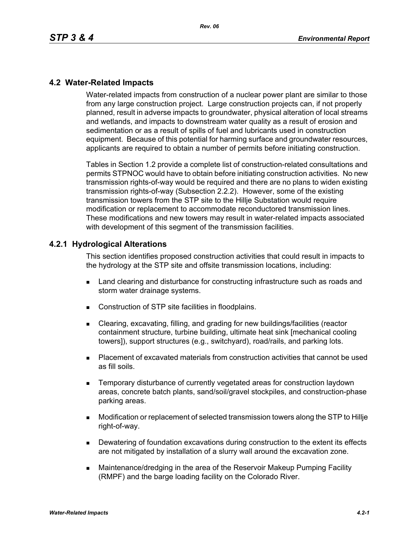### **4.2 Water-Related Impacts**

Water-related impacts from construction of a nuclear power plant are similar to those from any large construction project. Large construction projects can, if not properly planned, result in adverse impacts to groundwater, physical alteration of local streams and wetlands, and impacts to downstream water quality as a result of erosion and sedimentation or as a result of spills of fuel and lubricants used in construction equipment. Because of this potential for harming surface and groundwater resources, applicants are required to obtain a number of permits before initiating construction.

Tables in Section 1.2 provide a complete list of construction-related consultations and permits STPNOC would have to obtain before initiating construction activities. No new transmission rights-of-way would be required and there are no plans to widen existing transmission rights-of-way (Subsection 2.2.2). However, some of the existing transmission towers from the STP site to the Hillje Substation would require modification or replacement to accommodate reconductored transmission lines. These modifications and new towers may result in water-related impacts associated with development of this segment of the transmission facilities.

#### **4.2.1 Hydrological Alterations**

This section identifies proposed construction activities that could result in impacts to the hydrology at the STP site and offsite transmission locations, including:

- **EXEC** Land clearing and disturbance for constructing infrastructure such as roads and storm water drainage systems.
- Construction of STP site facilities in floodplains.
- Clearing, excavating, filling, and grading for new buildings/facilities (reactor containment structure, turbine building, ultimate heat sink [mechanical cooling towers]), support structures (e.g., switchyard), road/rails, and parking lots.
- Placement of excavated materials from construction activities that cannot be used as fill soils.
- **EXECTE TEMPORARY DISTINGUION CONSTRANGED META** TEMPORATION IS THE MOVING THE TEMPORARY TEMPORANGED **TEMPORAGHLY** areas, concrete batch plants, sand/soil/gravel stockpiles, and construction-phase parking areas.
- Modification or replacement of selected transmission towers along the STP to Hillje right-of-way.
- **Dewatering of foundation excavations during construction to the extent its effects** are not mitigated by installation of a slurry wall around the excavation zone.
- Maintenance/dredging in the area of the Reservoir Makeup Pumping Facility (RMPF) and the barge loading facility on the Colorado River.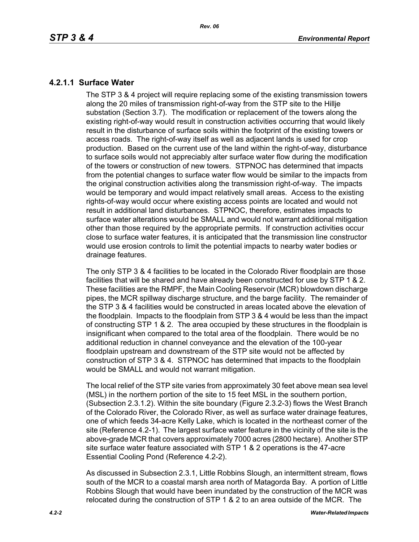# **4.2.1.1 Surface Water**

The STP 3 & 4 project will require replacing some of the existing transmission towers along the 20 miles of transmission right-of-way from the STP site to the Hillje substation (Section 3.7). The modification or replacement of the towers along the existing right-of-way would result in construction activities occurring that would likely result in the disturbance of surface soils within the footprint of the existing towers or access roads. The right-of-way itself as well as adjacent lands is used for crop production. Based on the current use of the land within the right-of-way, disturbance to surface soils would not appreciably alter surface water flow during the modification of the towers or construction of new towers. STPNOC has determined that impacts from the potential changes to surface water flow would be similar to the impacts from the original construction activities along the transmission right-of-way. The impacts would be temporary and would impact relatively small areas. Access to the existing rights-of-way would occur where existing access points are located and would not result in additional land disturbances. STPNOC, therefore, estimates impacts to surface water alterations would be SMALL and would not warrant additional mitigation other than those required by the appropriate permits. If construction activities occur close to surface water features, it is anticipated that the transmission line constructor would use erosion controls to limit the potential impacts to nearby water bodies or drainage features.

The only STP 3 & 4 facilities to be located in the Colorado River floodplain are those facilities that will be shared and have already been constructed for use by STP 1 & 2. These facilities are the RMPF, the Main Cooling Reservoir (MCR) blowdown discharge pipes, the MCR spillway discharge structure, and the barge facility. The remainder of the STP 3 & 4 facilities would be constructed in areas located above the elevation of the floodplain. Impacts to the floodplain from STP 3 & 4 would be less than the impact of constructing STP 1 & 2. The area occupied by these structures in the floodplain is insignificant when compared to the total area of the floodplain. There would be no additional reduction in channel conveyance and the elevation of the 100-year floodplain upstream and downstream of the STP site would not be affected by construction of STP 3 & 4. STPNOC has determined that impacts to the floodplain would be SMALL and would not warrant mitigation.

The local relief of the STP site varies from approximately 30 feet above mean sea level (MSL) in the northern portion of the site to 15 feet MSL in the southern portion, (Subsection 2.3.1.2). Within the site boundary (Figure 2.3.2-3) flows the West Branch of the Colorado River, the Colorado River, as well as surface water drainage features, one of which feeds 34-acre Kelly Lake, which is located in the northeast corner of the site (Reference 4.2-1). The largest surface water feature in the vicinity of the site is the above-grade MCR that covers approximately 7000 acres (2800 hectare). Another STP site surface water feature associated with STP 1 & 2 operations is the 47-acre Essential Cooling Pond (Reference 4.2-2).

As discussed in Subsection 2.3.1, Little Robbins Slough, an intermittent stream, flows south of the MCR to a coastal marsh area north of Matagorda Bay. A portion of Little Robbins Slough that would have been inundated by the construction of the MCR was relocated during the construction of STP 1 & 2 to an area outside of the MCR. The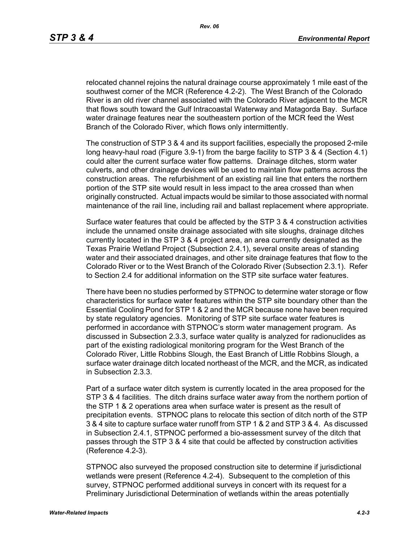relocated channel rejoins the natural drainage course approximately 1 mile east of the southwest corner of the MCR (Reference 4.2-2). The West Branch of the Colorado River is an old river channel associated with the Colorado River adjacent to the MCR that flows south toward the Gulf Intracoastal Waterway and Matagorda Bay. Surface water drainage features near the southeastern portion of the MCR feed the West Branch of the Colorado River, which flows only intermittently.

The construction of STP 3 & 4 and its support facilities, especially the proposed 2-mile long heavy-haul road (Figure 3.9-1) from the barge facility to STP 3 & 4 (Section 4.1) could alter the current surface water flow patterns. Drainage ditches, storm water culverts, and other drainage devices will be used to maintain flow patterns across the construction areas. The refurbishment of an existing rail line that enters the northern portion of the STP site would result in less impact to the area crossed than when originally constructed. Actual impacts would be similar to those associated with normal maintenance of the rail line, including rail and ballast replacement where appropriate.

Surface water features that could be affected by the STP 3 & 4 construction activities include the unnamed onsite drainage associated with site sloughs, drainage ditches currently located in the STP 3 & 4 project area, an area currently designated as the Texas Prairie Wetland Project (Subsection 2.4.1), several onsite areas of standing water and their associated drainages, and other site drainage features that flow to the Colorado River or to the West Branch of the Colorado River (Subsection 2.3.1). Refer to Section 2.4 for additional information on the STP site surface water features.

There have been no studies performed by STPNOC to determine water storage or flow characteristics for surface water features within the STP site boundary other than the Essential Cooling Pond for STP 1 & 2 and the MCR because none have been required by state regulatory agencies. Monitoring of STP site surface water features is performed in accordance with STPNOC's storm water management program. As discussed in Subsection 2.3.3, surface water quality is analyzed for radionuclides as part of the existing radiological monitoring program for the West Branch of the Colorado River, Little Robbins Slough, the East Branch of Little Robbins Slough, a surface water drainage ditch located northeast of the MCR, and the MCR, as indicated in Subsection 2.3.3.

Part of a surface water ditch system is currently located in the area proposed for the STP 3 & 4 facilities. The ditch drains surface water away from the northern portion of the STP 1 & 2 operations area when surface water is present as the result of precipitation events. STPNOC plans to relocate this section of ditch north of the STP 3 & 4 site to capture surface water runoff from STP 1 & 2 and STP 3 & 4. As discussed in Subsection 2.4.1, STPNOC performed a bio-assessment survey of the ditch that passes through the STP 3 & 4 site that could be affected by construction activities (Reference 4.2-3).

STPNOC also surveyed the proposed construction site to determine if jurisdictional wetlands were present (Reference 4.2-4). Subsequent to the completion of this survey, STPNOC performed additional surveys in concert with its request for a Preliminary Jurisdictional Determination of wetlands within the areas potentially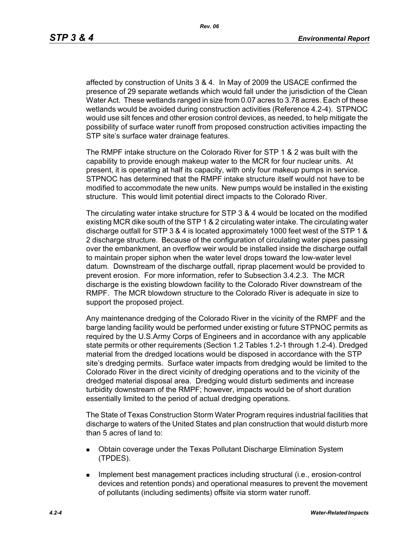affected by construction of Units 3 & 4. In May of 2009 the USACE confirmed the presence of 29 separate wetlands which would fall under the jurisdiction of the Clean Water Act. These wetlands ranged in size from 0.07 acres to 3.78 acres. Each of these wetlands would be avoided during construction activities (Reference 4.2-4). STPNOC would use silt fences and other erosion control devices, as needed, to help mitigate the possibility of surface water runoff from proposed construction activities impacting the STP site's surface water drainage features.

The RMPF intake structure on the Colorado River for STP 1 & 2 was built with the capability to provide enough makeup water to the MCR for four nuclear units. At present, it is operating at half its capacity, with only four makeup pumps in service. STPNOC has determined that the RMPF intake structure itself would not have to be modified to accommodate the new units. New pumps would be installed in the existing structure. This would limit potential direct impacts to the Colorado River.

The circulating water intake structure for STP 3 & 4 would be located on the modified existing MCR dike south of the STP 1 & 2 circulating water intake. The circulating water discharge outfall for STP 3 & 4 is located approximately 1000 feet west of the STP 1 & 2 discharge structure. Because of the configuration of circulating water pipes passing over the embankment, an overflow weir would be installed inside the discharge outfall to maintain proper siphon when the water level drops toward the low-water level datum. Downstream of the discharge outfall, riprap placement would be provided to prevent erosion. For more information, refer to Subsection 3.4.2.3. The MCR discharge is the existing blowdown facility to the Colorado River downstream of the RMPF. The MCR blowdown structure to the Colorado River is adequate in size to support the proposed project.

Any maintenance dredging of the Colorado River in the vicinity of the RMPF and the barge landing facility would be performed under existing or future STPNOC permits as required by the U.S.Army Corps of Engineers and in accordance with any applicable state permits or other requirements (Section 1.2 Tables 1.2-1 through 1.2-4). Dredged material from the dredged locations would be disposed in accordance with the STP site's dredging permits. Surface water impacts from dredging would be limited to the Colorado River in the direct vicinity of dredging operations and to the vicinity of the dredged material disposal area. Dredging would disturb sediments and increase turbidity downstream of the RMPF; however, impacts would be of short duration essentially limited to the period of actual dredging operations.

The State of Texas Construction Storm Water Program requires industrial facilities that discharge to waters of the United States and plan construction that would disturb more than 5 acres of land to:

- Obtain coverage under the Texas Pollutant Discharge Elimination System (TPDES).
- **IMPLEMENT MANAGEMENT EXAMPLE THE IMPLEMENT INCORDIT IN THE IMPLEMENT INCORDENT INCORDIT IN THE IMPLEMENT INCORDIT IN THE IMPLEMENT INCORDENT INCORDITION** devices and retention ponds) and operational measures to prevent the movement of pollutants (including sediments) offsite via storm water runoff.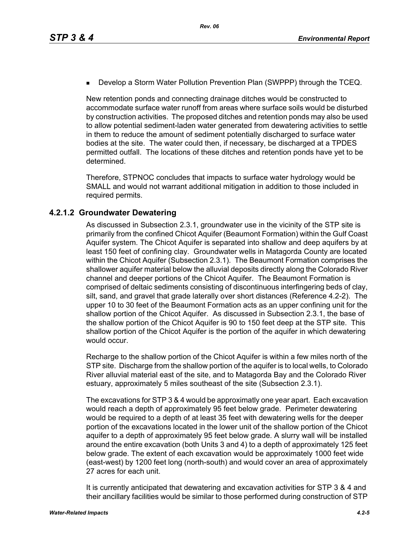**Develop a Storm Water Pollution Prevention Plan (SWPPP) through the TCEQ.** 

New retention ponds and connecting drainage ditches would be constructed to accommodate surface water runoff from areas where surface soils would be disturbed by construction activities. The proposed ditches and retention ponds may also be used to allow potential sediment-laden water generated from dewatering activities to settle in them to reduce the amount of sediment potentially discharged to surface water bodies at the site. The water could then, if necessary, be discharged at a TPDES permitted outfall. The locations of these ditches and retention ponds have yet to be determined.

Therefore, STPNOC concludes that impacts to surface water hydrology would be SMALL and would not warrant additional mitigation in addition to those included in required permits.

# **4.2.1.2 Groundwater Dewatering**

As discussed in Subsection 2.3.1, groundwater use in the vicinity of the STP site is primarily from the confined Chicot Aquifer (Beaumont Formation) within the Gulf Coast Aquifer system. The Chicot Aquifer is separated into shallow and deep aquifers by at least 150 feet of confining clay. Groundwater wells in Matagorda County are located within the Chicot Aquifer (Subsection 2.3.1). The Beaumont Formation comprises the shallower aquifer material below the alluvial deposits directly along the Colorado River channel and deeper portions of the Chicot Aquifer. The Beaumont Formation is comprised of deltaic sediments consisting of discontinuous interfingering beds of clay, silt, sand, and gravel that grade laterally over short distances (Reference 4.2-2). The upper 10 to 30 feet of the Beaumont Formation acts as an upper confining unit for the shallow portion of the Chicot Aquifer. As discussed in Subsection 2.3.1, the base of the shallow portion of the Chicot Aquifer is 90 to 150 feet deep at the STP site. This shallow portion of the Chicot Aquifer is the portion of the aquifer in which dewatering would occur.

Recharge to the shallow portion of the Chicot Aquifer is within a few miles north of the STP site. Discharge from the shallow portion of the aquifer is to local wells, to Colorado River alluvial material east of the site, and to Matagorda Bay and the Colorado River estuary, approximately 5 miles southeast of the site (Subsection 2.3.1).

The excavations for STP 3 & 4 would be approximatly one year apart. Each excavation would reach a depth of approximately 95 feet below grade. Perimeter dewatering would be required to a depth of at least 35 feet with dewatering wells for the deeper portion of the excavations located in the lower unit of the shallow portion of the Chicot aquifer to a depth of approximately 95 feet below grade. A slurry wall will be installed around the entire excavation (both Units 3 and 4) to a depth of approximately 125 feet below grade. The extent of each excavation would be approximately 1000 feet wide (east-west) by 1200 feet long (north-south) and would cover an area of approximately 27 acres for each unit.

It is currently anticipated that dewatering and excavation activities for STP 3 & 4 and their ancillary facilities would be similar to those performed during construction of STP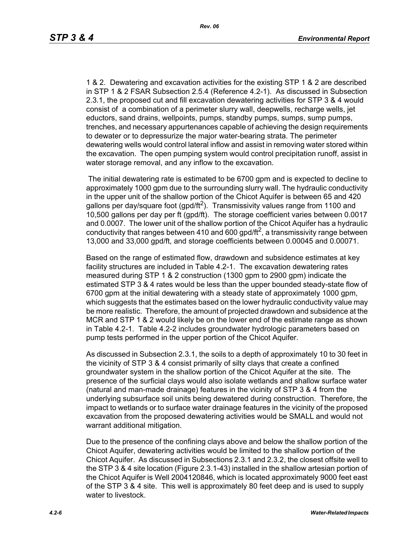1 & 2. Dewatering and excavation activities for the existing STP 1 & 2 are described in STP 1 & 2 FSAR Subsection 2.5.4 (Reference 4.2-1). As discussed in Subsection 2.3.1, the proposed cut and fill excavation dewatering activities for STP 3 & 4 would consist of a combination of a perimeter slurry wall, deepwells, recharge wells, jet eductors, sand drains, wellpoints, pumps, standby pumps, sumps, sump pumps, trenches, and necessary appurtenances capable of achieving the design requirements to dewater or to depressurize the major water-bearing strata. The perimeter dewatering wells would control lateral inflow and assist in removing water stored within the excavation. The open pumping system would control precipitation runoff, assist in water storage removal, and any inflow to the excavation.

 The initial dewatering rate is estimated to be 6700 gpm and is expected to decline to approximately 1000 gpm due to the surrounding slurry wall. The hydraulic conductivity in the upper unit of the shallow portion of the Chicot Aquifer is between 65 and 420 gallons per day/square foot (gpd/ft<sup>2</sup>). Transmissivity values range from 1100 and 10,500 gallons per day per ft (gpd/ft). The storage coefficient varies between 0.0017 and 0.0007. The lower unit of the shallow portion of the Chicot Aquifer has a hydraulic conductivity that ranges between 410 and 600 gpd/ft<sup>2</sup>, a transmissivity range between 13,000 and 33,000 gpd/ft, and storage coefficients between 0.00045 and 0.00071.

Based on the range of estimated flow, drawdown and subsidence estimates at key facility structures are included in Table 4.2-1. The excavation dewatering rates measured during STP 1 & 2 construction (1300 gpm to 2900 gpm) indicate the estimated STP 3 & 4 rates would be less than the upper bounded steady-state flow of 6700 gpm at the initial dewatering with a steady state of approximately 1000 gpm, which suggests that the estimates based on the lower hydraulic conductivity value may be more realistic. Therefore, the amount of projected drawdown and subsidence at the MCR and STP 1 & 2 would likely be on the lower end of the estimate range as shown in Table 4.2-1. Table 4.2-2 includes groundwater hydrologic parameters based on pump tests performed in the upper portion of the Chicot Aquifer.

As discussed in Subsection 2.3.1, the soils to a depth of approximately 10 to 30 feet in the vicinity of STP 3 & 4 consist primarily of silty clays that create a confined groundwater system in the shallow portion of the Chicot Aquifer at the site. The presence of the surficial clays would also isolate wetlands and shallow surface water (natural and man-made drainage) features in the vicinity of STP 3 & 4 from the underlying subsurface soil units being dewatered during construction. Therefore, the impact to wetlands or to surface water drainage features in the vicinity of the proposed excavation from the proposed dewatering activities would be SMALL and would not warrant additional mitigation.

Due to the presence of the confining clays above and below the shallow portion of the Chicot Aquifer, dewatering activities would be limited to the shallow portion of the Chicot Aquifer. As discussed in Subsections 2.3.1 and 2.3.2, the closest offsite well to the STP 3 & 4 site location (Figure 2.3.1-43) installed in the shallow artesian portion of the Chicot Aquifer is Well 2004120846, which is located approximately 9000 feet east of the STP 3 & 4 site. This well is approximately 80 feet deep and is used to supply water to livestock.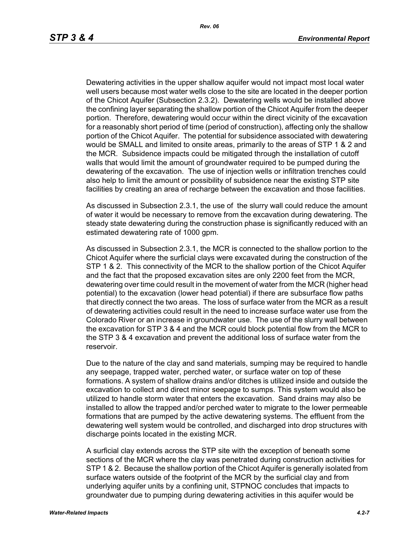Dewatering activities in the upper shallow aquifer would not impact most local water well users because most water wells close to the site are located in the deeper portion of the Chicot Aquifer (Subsection 2.3.2). Dewatering wells would be installed above the confining layer separating the shallow portion of the Chicot Aquifer from the deeper portion. Therefore, dewatering would occur within the direct vicinity of the excavation for a reasonably short period of time (period of construction), affecting only the shallow portion of the Chicot Aquifer. The potential for subsidence associated with dewatering would be SMALL and limited to onsite areas, primarily to the areas of STP 1 & 2 and the MCR. Subsidence impacts could be mitigated through the installation of cutoff walls that would limit the amount of groundwater required to be pumped during the dewatering of the excavation. The use of injection wells or infiltration trenches could also help to limit the amount or possibility of subsidence near the existing STP site facilities by creating an area of recharge between the excavation and those facilities.

As discussed in Subsection 2.3.1, the use of the slurry wall could reduce the amount of water it would be necessary to remove from the excavation during dewatering. The steady state dewatering during the construction phase is significantly reduced with an estimated dewatering rate of 1000 gpm.

As discussed in Subsection 2.3.1, the MCR is connected to the shallow portion to the Chicot Aquifer where the surficial clays were excavated during the construction of the STP 1 & 2. This connectivity of the MCR to the shallow portion of the Chicot Aquifer and the fact that the proposed excavation sites are only 2200 feet from the MCR, dewatering over time could result in the movement of water from the MCR (higher head potential) to the excavation (lower head potential) if there are subsurface flow paths that directly connect the two areas. The loss of surface water from the MCR as a result of dewatering activities could result in the need to increase surface water use from the Colorado River or an increase in groundwater use. The use of the slurry wall between the excavation for STP 3 & 4 and the MCR could block potential flow from the MCR to the STP 3 & 4 excavation and prevent the additional loss of surface water from the reservoir.

Due to the nature of the clay and sand materials, sumping may be required to handle any seepage, trapped water, perched water, or surface water on top of these formations. A system of shallow drains and/or ditches is utilized inside and outside the excavation to collect and direct minor seepage to sumps. This system would also be utilized to handle storm water that enters the excavation. Sand drains may also be installed to allow the trapped and/or perched water to migrate to the lower permeable formations that are pumped by the active dewatering systems. The effluent from the dewatering well system would be controlled, and discharged into drop structures with discharge points located in the existing MCR.

A surficial clay extends across the STP site with the exception of beneath some sections of the MCR where the clay was penetrated during construction activities for STP 1 & 2. Because the shallow portion of the Chicot Aquifer is generally isolated from surface waters outside of the footprint of the MCR by the surficial clay and from underlying aquifer units by a confining unit, STPNOC concludes that impacts to groundwater due to pumping during dewatering activities in this aquifer would be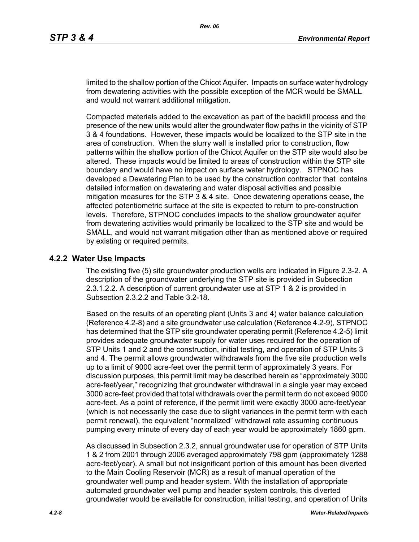limited to the shallow portion of the Chicot Aquifer. Impacts on surface water hydrology from dewatering activities with the possible exception of the MCR would be SMALL and would not warrant additional mitigation.

Compacted materials added to the excavation as part of the backfill process and the presence of the new units would alter the groundwater flow paths in the vicinity of STP 3 & 4 foundations. However, these impacts would be localized to the STP site in the area of construction. When the slurry wall is installed prior to construction, flow patterns within the shallow portion of the Chicot Aquifer on the STP site would also be altered. These impacts would be limited to areas of construction within the STP site boundary and would have no impact on surface water hydrology. STPNOC has developed a Dewatering Plan to be used by the construction contractor that contains detailed information on dewatering and water disposal activities and possible mitigation measures for the STP 3 & 4 site. Once dewatering operations cease, the affected potentiometric surface at the site is expected to return to pre-construction levels. Therefore, STPNOC concludes impacts to the shallow groundwater aquifer from dewatering activities would primarily be localized to the STP site and would be SMALL, and would not warrant mitigation other than as mentioned above or required by existing or required permits.

#### **4.2.2 Water Use Impacts**

The existing five (5) site groundwater production wells are indicated in Figure 2.3-2. A description of the groundwater underlying the STP site is provided in Subsection 2.3.1.2.2. A description of current groundwater use at STP 1 & 2 is provided in Subsection 2.3.2.2 and Table 3.2-18.

Based on the results of an operating plant (Units 3 and 4) water balance calculation (Reference 4.2-8) and a site groundwater use calculation (Reference 4.2-9), STPNOC has determined that the STP site groundwater operating permit (Reference 4.2-5) limit provides adequate groundwater supply for water uses required for the operation of STP Units 1 and 2 and the construction, initial testing, and operation of STP Units 3 and 4. The permit allows groundwater withdrawals from the five site production wells up to a limit of 9000 acre-feet over the permit term of approximately 3 years. For discussion purposes, this permit limit may be described herein as "approximately 3000 acre-feet/year," recognizing that groundwater withdrawal in a single year may exceed 3000 acre-feet provided that total withdrawals over the permit term do not exceed 9000 acre-feet. As a point of reference, if the permit limit were exactly 3000 acre-feet/year (which is not necessarily the case due to slight variances in the permit term with each permit renewal), the equivalent "normalized" withdrawal rate assuming continuous pumping every minute of every day of each year would be approximately 1860 gpm.

As discussed in Subsection 2.3.2, annual groundwater use for operation of STP Units 1 & 2 from 2001 through 2006 averaged approximately 798 gpm (approximately 1288 acre-feet/year). A small but not insignificant portion of this amount has been diverted to the Main Cooling Reservoir (MCR) as a result of manual operation of the groundwater well pump and header system. With the installation of appropriate automated groundwater well pump and header system controls, this diverted groundwater would be available for construction, initial testing, and operation of Units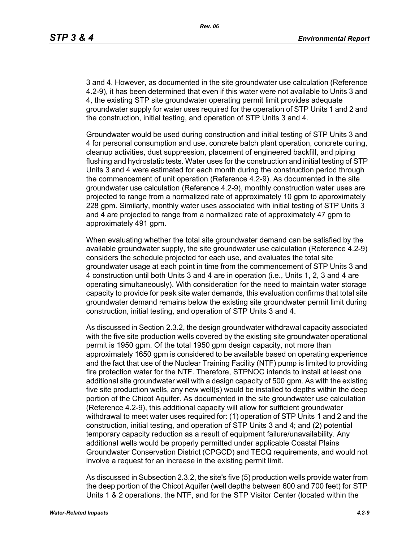3 and 4. However, as documented in the site groundwater use calculation (Reference 4.2-9), it has been determined that even if this water were not available to Units 3 and 4, the existing STP site groundwater operating permit limit provides adequate groundwater supply for water uses required for the operation of STP Units 1 and 2 and the construction, initial testing, and operation of STP Units 3 and 4.

Groundwater would be used during construction and initial testing of STP Units 3 and 4 for personal consumption and use, concrete batch plant operation, concrete curing, cleanup activities, dust suppression, placement of engineered backfill, and piping flushing and hydrostatic tests. Water uses for the construction and initial testing of STP Units 3 and 4 were estimated for each month during the construction period through the commencement of unit operation (Reference 4.2-9). As documented in the site groundwater use calculation (Reference 4.2-9), monthly construction water uses are projected to range from a normalized rate of approximately 10 gpm to approximately 228 gpm. Similarly, monthly water uses associated with initial testing of STP Units 3 and 4 are projected to range from a normalized rate of approximately 47 gpm to approximately 491 gpm.

When evaluating whether the total site groundwater demand can be satisfied by the available groundwater supply, the site groundwater use calculation (Reference 4.2-9) considers the schedule projected for each use, and evaluates the total site groundwater usage at each point in time from the commencement of STP Units 3 and 4 construction until both Units 3 and 4 are in operation (i.e., Units 1, 2, 3 and 4 are operating simultaneously). With consideration for the need to maintain water storage capacity to provide for peak site water demands, this evaluation confirms that total site groundwater demand remains below the existing site groundwater permit limit during construction, initial testing, and operation of STP Units 3 and 4.

As discussed in Section 2.3.2, the design groundwater withdrawal capacity associated with the five site production wells covered by the existing site groundwater operational permit is 1950 gpm. Of the total 1950 gpm design capacity, not more than approximately 1650 gpm is considered to be available based on operating experience and the fact that use of the Nuclear Training Facility (NTF) pump is limited to providing fire protection water for the NTF. Therefore, STPNOC intends to install at least one additional site groundwater well with a design capacity of 500 gpm. As with the existing five site production wells, any new well(s) would be installed to depths within the deep portion of the Chicot Aquifer. As documented in the site groundwater use calculation (Reference 4.2-9), this additional capacity will allow for sufficient groundwater withdrawal to meet water uses required for: (1) operation of STP Units 1 and 2 and the construction, initial testing, and operation of STP Units 3 and 4; and (2) potential temporary capacity reduction as a result of equipment failure/unavailability. Any additional wells would be properly permitted under applicable Coastal Plains Groundwater Conservation District (CPGCD) and TECQ requirements, and would not involve a request for an increase in the existing permit limit.

As discussed in Subsection 2.3.2, the site's five (5) production wells provide water from the deep portion of the Chicot Aquifer (well depths between 600 and 700 feet) for STP Units 1 & 2 operations, the NTF, and for the STP Visitor Center (located within the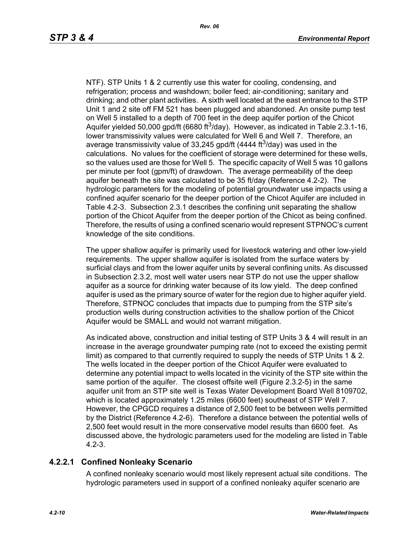NTF). STP Units 1 & 2 currently use this water for cooling, condensing, and refrigeration; process and washdown; boiler feed; air-conditioning; sanitary and drinking; and other plant activities. A sixth well located at the east entrance to the STP Unit 1 and 2 site off FM 521 has been plugged and abandoned. An onsite pump test on Well 5 installed to a depth of 700 feet in the deep aquifer portion of the Chicot Aquifer yielded 50,000 gpd/ft (6680 ft<sup>3</sup>/day). However, as indicated in Table 2.3.1-16, lower transmissivity values were calculated for Well 6 and Well 7. Therefore, an average transmissivity value of 33,245 gpd/ft (4444 ft<sup>3</sup>/day) was used in the calculations. No values for the coefficient of storage were determined for these wells, so the values used are those for Well 5. The specific capacity of Well 5 was 10 gallons per minute per foot (gpm/ft) of drawdown. The average permeability of the deep aquifer beneath the site was calculated to be 35 ft/day (Reference 4.2-2). The hydrologic parameters for the modeling of potential groundwater use impacts using a confined aquifer scenario for the deeper portion of the Chicot Aquifer are included in Table 4.2-3. Subsection 2.3.1 describes the confining unit separating the shallow portion of the Chicot Aquifer from the deeper portion of the Chicot as being confined. Therefore, the results of using a confined scenario would represent STPNOC's current knowledge of the site conditions.

The upper shallow aquifer is primarily used for livestock watering and other low-yield requirements. The upper shallow aquifer is isolated from the surface waters by surficial clays and from the lower aquifer units by several confining units. As discussed in Subsection 2.3.2, most well water users near STP do not use the upper shallow aquifer as a source for drinking water because of its low yield. The deep confined aquifer is used as the primary source of water for the region due to higher aquifer yield. Therefore, STPNOC concludes that impacts due to pumping from the STP site's production wells during construction activities to the shallow portion of the Chicot Aquifer would be SMALL and would not warrant mitigation.

As indicated above, construction and initial testing of STP Units 3 & 4 will result in an increase in the average groundwater pumping rate (not to exceed the existing permit limit) as compared to that currently required to supply the needs of STP Units 1 & 2. The wells located in the deeper portion of the Chicot Aquifer were evaluated to determine any potential impact to wells located in the vicinity of the STP site within the same portion of the aquifer. The closest offsite well (Figure 2.3.2-5) in the same aquifer unit from an STP site well is Texas Water Development Board Well 8109702, which is located approximately 1.25 miles (6600 feet) southeast of STP Well 7. However, the CPGCD requires a distance of 2,500 feet to be between wells permitted by the District (Reference 4.2-6). Therefore a distance between the potential wells of 2,500 feet would result in the more conservative model results than 6600 feet. As discussed above, the hydrologic parameters used for the modeling are listed in Table 4.2-3.

# **4.2.2.1 Confined Nonleaky Scenario**

A confined nonleaky scenario would most likely represent actual site conditions. The hydrologic parameters used in support of a confined nonleaky aquifer scenario are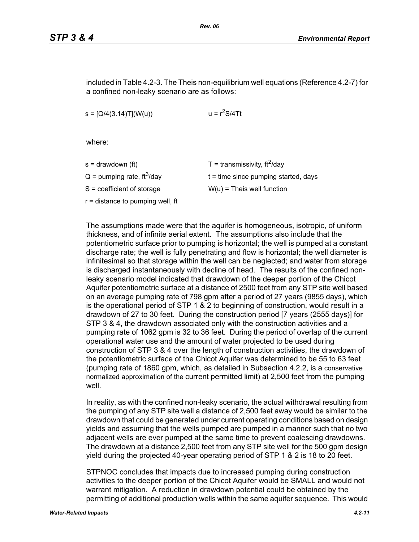included in Table 4.2-3. The Theis non-equilibrium well equations (Reference 4.2-7) for a confined non-leaky scenario are as follows:

 $s = [Q/4(3.14)T](W(u))$   $u = r<sup>2</sup>S/4Tt$ 

where:

| s = drawdown (ft)                        | T = transmissivity, $\text{ft}^2/\text{day}$ |
|------------------------------------------|----------------------------------------------|
| $Q =$ pumping rate, ft <sup>3</sup> /day | $t =$ time since pumping started, days       |
| S = coefficient of storage               | $W(u)$ = Theis well function                 |
| r = distance to pumping well, ft         |                                              |
|                                          |                                              |

The assumptions made were that the aquifer is homogeneous, isotropic, of uniform thickness, and of infinite aerial extent. The assumptions also include that the potentiometric surface prior to pumping is horizontal; the well is pumped at a constant discharge rate; the well is fully penetrating and flow is horizontal; the well diameter is infinitesimal so that storage within the well can be neglected; and water from storage is discharged instantaneously with decline of head. The results of the confined nonleaky scenario model indicated that drawdown of the deeper portion of the Chicot Aquifer potentiometric surface at a distance of 2500 feet from any STP site well based on an average pumping rate of 798 gpm after a period of 27 years (9855 days), which is the operational period of STP 1 & 2 to beginning of construction, would result in a drawdown of 27 to 30 feet. During the construction period [7 years (2555 days)] for STP 3 & 4, the drawdown associated only with the construction activities and a pumping rate of 1062 gpm is 32 to 36 feet. During the period of overlap of the current operational water use and the amount of water projected to be used during construction of STP 3 & 4 over the length of construction activities, the drawdown of the potentiometric surface of the Chicot Aquifer was determined to be 55 to 63 feet (pumping rate of 1860 gpm, which, as detailed in Subsection 4.2.2, is a conservative normalized approximation of the current permitted limit) at 2,500 feet from the pumping well

In reality, as with the confined non-leaky scenario, the actual withdrawal resulting from the pumping of any STP site well a distance of 2,500 feet away would be similar to the drawdown that could be generated under current operating conditions based on design yields and assuming that the wells pumped are pumped in a manner such that no two adjacent wells are ever pumped at the same time to prevent coalescing drawdowns. The drawdown at a distance 2,500 feet from any STP site well for the 500 gpm design yield during the projected 40-year operating period of STP 1 & 2 is 18 to 20 feet.

STPNOC concludes that impacts due to increased pumping during construction activities to the deeper portion of the Chicot Aquifer would be SMALL and would not warrant mitigation. A reduction in drawdown potential could be obtained by the permitting of additional production wells within the same aquifer sequence. This would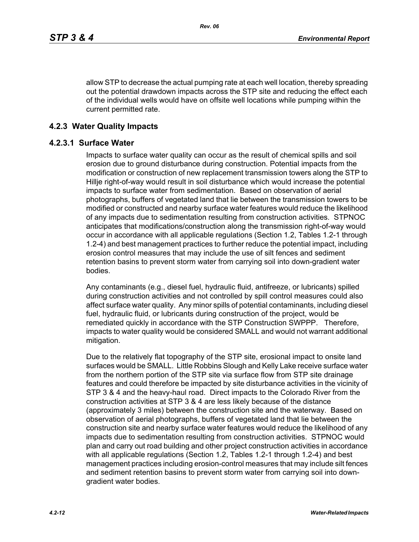allow STP to decrease the actual pumping rate at each well location, thereby spreading out the potential drawdown impacts across the STP site and reducing the effect each of the individual wells would have on offsite well locations while pumping within the current permitted rate.

### **4.2.3 Water Quality Impacts**

#### **4.2.3.1 Surface Water**

Impacts to surface water quality can occur as the result of chemical spills and soil erosion due to ground disturbance during construction. Potential impacts from the modification or construction of new replacement transmission towers along the STP to Hillje right-of-way would result in soil disturbance which would increase the potential impacts to surface water from sedimentation. Based on observation of aerial photographs, buffers of vegetated land that lie between the transmission towers to be modified or constructed and nearby surface water features would reduce the likelihood of any impacts due to sedimentation resulting from construction activities. STPNOC anticipates that modifications/construction along the transmission right-of-way would occur in accordance with all applicable regulations (Section 1.2, Tables 1.2-1 through 1.2-4) and best management practices to further reduce the potential impact, including erosion control measures that may include the use of silt fences and sediment retention basins to prevent storm water from carrying soil into down-gradient water bodies.

Any contaminants (e.g., diesel fuel, hydraulic fluid, antifreeze, or lubricants) spilled during construction activities and not controlled by spill control measures could also affect surface water quality. Any minor spills of potential contaminants, including diesel fuel, hydraulic fluid, or lubricants during construction of the project, would be remediated quickly in accordance with the STP Construction SWPPP. Therefore, impacts to water quality would be considered SMALL and would not warrant additional mitigation.

Due to the relatively flat topography of the STP site, erosional impact to onsite land surfaces would be SMALL. Little Robbins Slough and Kelly Lake receive surface water from the northern portion of the STP site via surface flow from STP site drainage features and could therefore be impacted by site disturbance activities in the vicinity of STP 3 & 4 and the heavy-haul road. Direct impacts to the Colorado River from the construction activities at STP 3 & 4 are less likely because of the distance (approximately 3 miles) between the construction site and the waterway. Based on observation of aerial photographs, buffers of vegetated land that lie between the construction site and nearby surface water features would reduce the likelihood of any impacts due to sedimentation resulting from construction activities. STPNOC would plan and carry out road building and other project construction activities in accordance with all applicable regulations (Section 1.2, Tables 1.2-1 through 1.2-4) and best management practices including erosion-control measures that may include silt fences and sediment retention basins to prevent storm water from carrying soil into downgradient water bodies.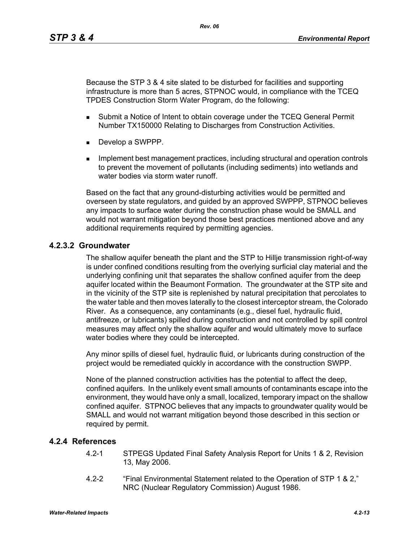Because the STP 3 & 4 site slated to be disturbed for facilities and supporting infrastructure is more than 5 acres, STPNOC would, in compliance with the TCEQ TPDES Construction Storm Water Program, do the following:

- **Submit a Notice of Intent to obtain coverage under the TCEQ General Permit** Number TX150000 Relating to Discharges from Construction Activities.
- Develop a SWPPP.
- **IMPLEMENT MANAGEMENT MANAGEMENT CONTROLLER** Including structural and operation controls to prevent the movement of pollutants (including sediments) into wetlands and water bodies via storm water runoff

Based on the fact that any ground-disturbing activities would be permitted and overseen by state regulators, and guided by an approved SWPPP, STPNOC believes any impacts to surface water during the construction phase would be SMALL and would not warrant mitigation beyond those best practices mentioned above and any additional requirements required by permitting agencies.

# **4.2.3.2 Groundwater**

The shallow aquifer beneath the plant and the STP to Hillje transmission right-of-way is under confined conditions resulting from the overlying surficial clay material and the underlying confining unit that separates the shallow confined aquifer from the deep aquifer located within the Beaumont Formation. The groundwater at the STP site and in the vicinity of the STP site is replenished by natural precipitation that percolates to the water table and then moves laterally to the closest interceptor stream, the Colorado River. As a consequence, any contaminants (e.g., diesel fuel, hydraulic fluid, antifreeze, or lubricants) spilled during construction and not controlled by spill control measures may affect only the shallow aquifer and would ultimately move to surface water bodies where they could be intercepted.

Any minor spills of diesel fuel, hydraulic fluid, or lubricants during construction of the project would be remediated quickly in accordance with the construction SWPP.

None of the planned construction activities has the potential to affect the deep, confined aquifers. In the unlikely event small amounts of contaminants escape into the environment, they would have only a small, localized, temporary impact on the shallow confined aquifer. STPNOC believes that any impacts to groundwater quality would be SMALL and would not warrant mitigation beyond those described in this section or required by permit.

# **4.2.4 References**

- 4.2-1 STPEGS Updated Final Safety Analysis Report for Units 1 & 2, Revision 13, May 2006.
- 4.2-2 "Final Environmental Statement related to the Operation of STP 1 & 2," NRC (Nuclear Regulatory Commission) August 1986.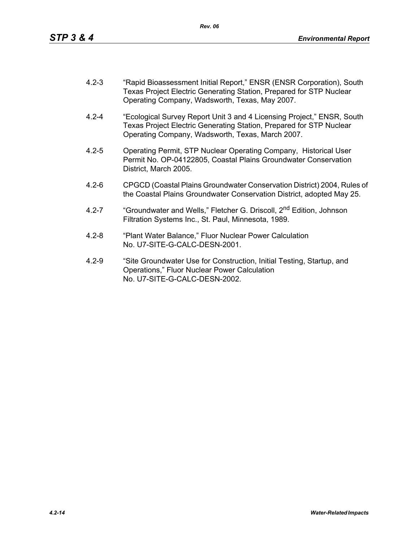- 4.2-3 "Rapid Bioassessment Initial Report," ENSR (ENSR Corporation), South Texas Project Electric Generating Station, Prepared for STP Nuclear Operating Company, Wadsworth, Texas, May 2007.
- 4.2-4 "Ecological Survey Report Unit 3 and 4 Licensing Project," ENSR, South Texas Project Electric Generating Station, Prepared for STP Nuclear Operating Company, Wadsworth, Texas, March 2007.
- 4.2-5 Operating Permit, STP Nuclear Operating Company, Historical User Permit No. OP-04122805, Coastal Plains Groundwater Conservation District, March 2005.
- 4.2-6 CPGCD (Coastal Plains Groundwater Conservation District) 2004, Rules of the Coastal Plains Groundwater Conservation District, adopted May 25.
- 4.2-7 "Groundwater and Wells," Fletcher G. Driscoll, 2<sup>nd</sup> Edition, Johnson Filtration Systems Inc., St. Paul, Minnesota, 1989.
- 4.2-8 "Plant Water Balance," Fluor Nuclear Power Calculation No. U7-SITE-G-CALC-DESN-2001.
- 4.2-9 "Site Groundwater Use for Construction, Initial Testing, Startup, and Operations," Fluor Nuclear Power Calculation No. U7-SITE-G-CALC-DESN-2002.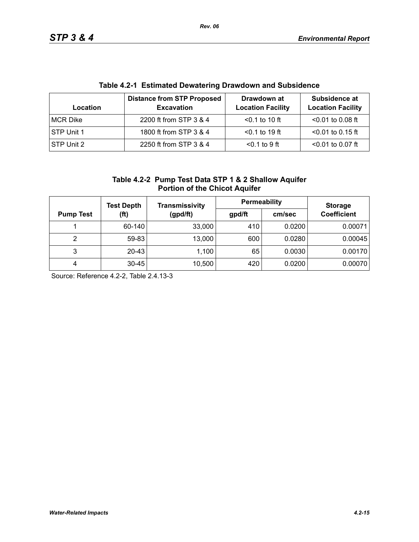| Table 4.2-1 EStimated Dewatering Drawdown and Subsidence |                                                        |                                         |                                           |  |  |  |
|----------------------------------------------------------|--------------------------------------------------------|-----------------------------------------|-------------------------------------------|--|--|--|
| Location                                                 | <b>Distance from STP Proposed</b><br><b>Excavation</b> | Drawdown at<br><b>Location Facility</b> | Subsidence at<br><b>Location Facility</b> |  |  |  |
| MCR Dike                                                 | 2200 ft from STP 3 & 4                                 | $< 0.1$ to 10 ft                        | $< 0.01$ to 0.08 ft                       |  |  |  |
| STP Unit 1                                               | 1800 ft from STP 3 & 4                                 | $< 0.1$ to 19 ft                        | $<$ 0.01 to 0.15 ft                       |  |  |  |
| STP Unit 2                                               | 2250 ft from STP 3 & 4                                 | $0.1$ to 9 ft                           | $< 0.01$ to 0.07 ft                       |  |  |  |

# **Table 4.2-1 Estimated Dewatering Drawdown and Subsidence**

| Table 4.2-2 Pump Test Data STP 1 & 2 Shallow Aquifer |
|------------------------------------------------------|
| <b>Portion of the Chicot Aquifer</b>                 |

|                          | <b>Test Depth</b> | <b>Transmissivity</b> | Permeability | <b>Storage</b> |                    |  |
|--------------------------|-------------------|-----------------------|--------------|----------------|--------------------|--|
| (ft)<br><b>Pump Test</b> |                   | (gpd/ft)              | gpd/ft       | cm/sec         | <b>Coefficient</b> |  |
|                          | 60-140            | 33,000                | 410          | 0.0200         | 0.00071            |  |
| 2                        | 59-83             | 13,000                | 600          | 0.0280         | 0.00045            |  |
| 3                        | 20-43             | 1,100                 | 65           | 0.0030         | 0.00170            |  |
| 4                        | $30 - 45$         | 10,500                | 420          | 0.0200         | 0.00070            |  |

Source: Reference 4.2-2, Table 2.4.13-3